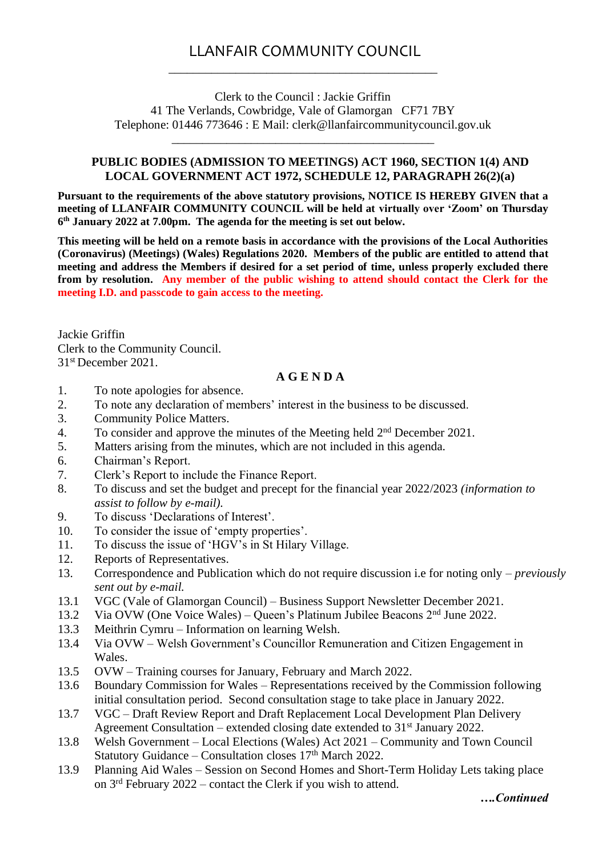# LLANFAIR COMMUNITY COUNCIL \_\_\_\_\_\_\_\_\_\_\_\_\_\_\_\_\_\_\_\_\_\_\_\_\_\_\_\_\_\_\_\_\_\_\_\_\_\_\_\_\_\_\_\_

Clerk to the Council : Jackie Griffin 41 The Verlands, Cowbridge, Vale of Glamorgan CF71 7BY Telephone: 01446 773646 : E Mail: clerk@llanfaircommunitycouncil.gov.uk

\_\_\_\_\_\_\_\_\_\_\_\_\_\_\_\_\_\_\_\_\_\_\_\_\_\_\_\_\_\_\_\_\_\_\_\_\_\_\_\_\_\_\_

#### **PUBLIC BODIES (ADMISSION TO MEETINGS) ACT 1960, SECTION 1(4) AND LOCAL GOVERNMENT ACT 1972, SCHEDULE 12, PARAGRAPH 26(2)(a)**

**Pursuant to the requirements of the above statutory provisions, NOTICE IS HEREBY GIVEN that a meeting of LLANFAIR COMMUNITY COUNCIL will be held at virtually over 'Zoom' on Thursday 6 th January 2022 at 7.00pm. The agenda for the meeting is set out below.** 

**This meeting will be held on a remote basis in accordance with the provisions of the Local Authorities (Coronavirus) (Meetings) (Wales) Regulations 2020. Members of the public are entitled to attend that meeting and address the Members if desired for a set period of time, unless properly excluded there from by resolution. Any member of the public wishing to attend should contact the Clerk for the meeting I.D. and passcode to gain access to the meeting.**

Jackie Griffin Clerk to the Community Council. 31st December 2021.

#### **A G E N D A**

- 1. To note apologies for absence.
- 2. To note any declaration of members' interest in the business to be discussed.
- 3. Community Police Matters.
- 4. To consider and approve the minutes of the Meeting held  $2<sup>nd</sup>$  December 2021.
- 5. Matters arising from the minutes, which are not included in this agenda.
- 6. Chairman's Report.
- 7. Clerk's Report to include the Finance Report.
- 8. To discuss and set the budget and precept for the financial year 2022/2023 *(information to assist to follow by e-mail).*
- 9. To discuss 'Declarations of Interest'.
- 10. To consider the issue of 'empty properties'.
- 11. To discuss the issue of 'HGV's in St Hilary Village.
- 12. Reports of Representatives.
- 13. Correspondence and Publication which do not require discussion i.e for noting only *previously sent out by e-mail.*
- 13.1 VGC (Vale of Glamorgan Council) Business Support Newsletter December 2021.
- 13.2 Via OVW (One Voice Wales) Queen's Platinum Jubilee Beacons 2nd June 2022.
- 13.3 Meithrin Cymru Information on learning Welsh.
- 13.4 Via OVW Welsh Government's Councillor Remuneration and Citizen Engagement in Wales.
- 13.5 OVW Training courses for January, February and March 2022.
- 13.6 Boundary Commission for Wales Representations received by the Commission following initial consultation period. Second consultation stage to take place in January 2022.
- 13.7 VGC Draft Review Report and Draft Replacement Local Development Plan Delivery Agreement Consultation – extended closing date extended to  $31<sup>st</sup>$  January 2022.
- 13.8 Welsh Government Local Elections (Wales) Act 2021 Community and Town Council Statutory Guidance – Consultation closes 17<sup>th</sup> March 2022.
- 13.9 Planning Aid Wales Session on Second Homes and Short-Term Holiday Lets taking place on 3rd February 2022 – contact the Clerk if you wish to attend.

*….Continued*